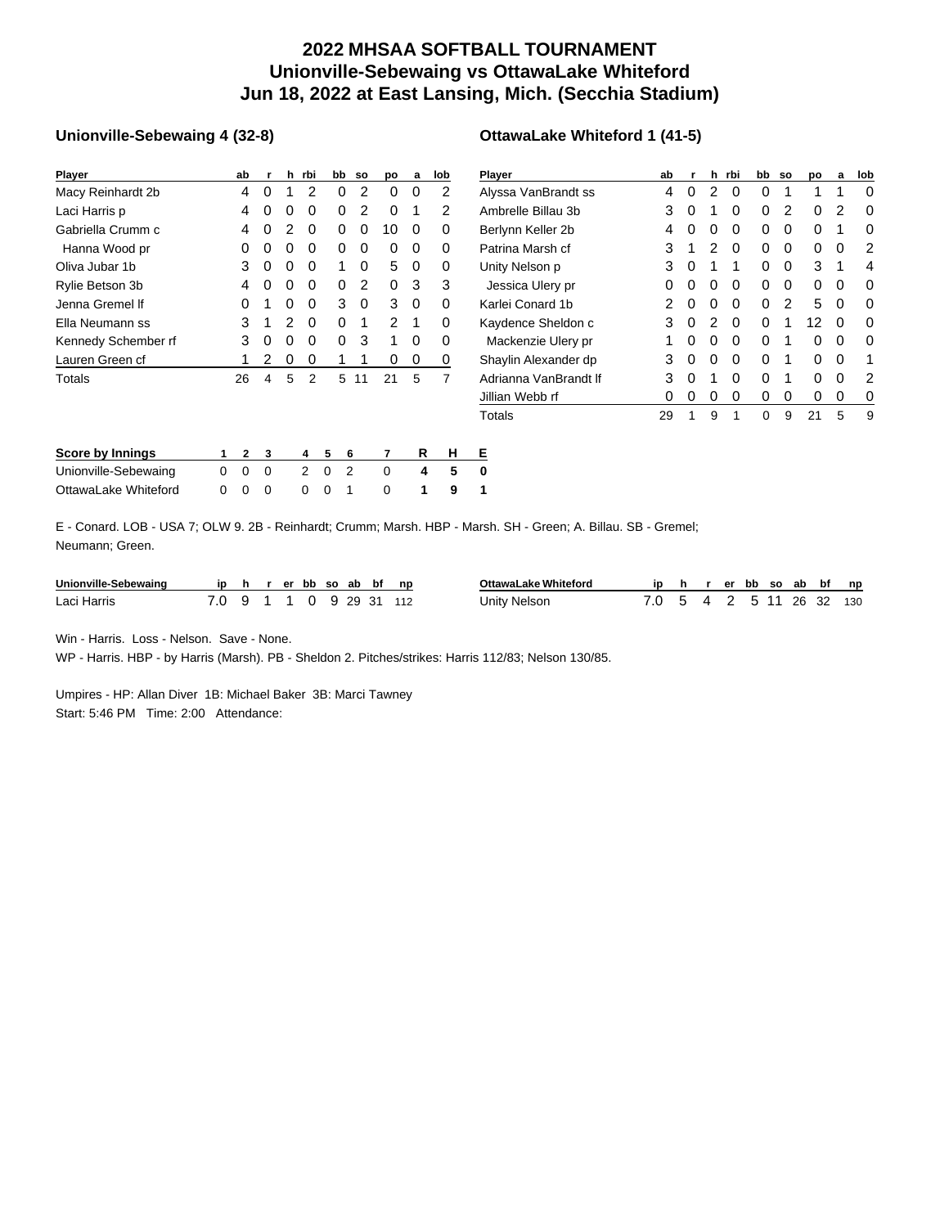## **2022 MHSAA SOFTBALL TOURNAMENT Unionville-Sebewaing vs OttawaLake Whiteford Jun 18, 2022 at East Lansing, Mich. (Secchia Stadium)**

## **Unionville-Sebewaing 4 (32-8)**

| Player               |   | ab           | r | h              | rbi | bb | <b>SO</b> | po             | a | lob | $\overline{P}$ |
|----------------------|---|--------------|---|----------------|-----|----|-----------|----------------|---|-----|----------------|
| Macy Reinhardt 2b    |   | 4            | 0 | 1              | 2   | 0  | 2         | 0              | 0 | 2   | А              |
| Laci Harris p        |   | 4            | 0 | 0              | 0   | 0  | 2         | 0              | 1 | 2   | А              |
| Gabriella Crumm c    |   | 4            | 0 | 2              | 0   | 0  | 0         | 10             | 0 | 0   | в              |
| Hanna Wood pr        |   | 0            | 0 | 0              | 0   | 0  | 0         | 0              | 0 | 0   | Ρ              |
| Oliva Jubar 1b       |   | 3            | 0 | 0              | 0   | 1  | 0         | 5              | 0 | 0   | U              |
| Rylie Betson 3b      |   | 4            | 0 | 0              | 0   | 0  | 2         | 0              | 3 | 3   |                |
| Jenna Gremel If      |   | 0            | 1 | $\Omega$       | 0   | 3  | 0         | 3              | 0 | 0   | Κ              |
| Ella Neumann ss      |   | 3            | 1 | $\overline{c}$ | 0   | 0  | 1         | $\overline{2}$ | 1 | 0   | Κ              |
| Kennedy Schember rf  |   | 3            | 0 | 0              | 0   | 0  | 3         | 1              | 0 | 0   |                |
| Lauren Green cf      |   | 1            | 2 | 0              | 0   | 1  | 1         | 0              | 0 | 0   | S              |
| Totals               |   | 26           | 4 | 5              | 2   | 5  | 11        | 21             | 5 | 7   | А              |
|                      |   |              |   |                |     |    |           |                |   |     | <u>ل</u>       |
|                      |   |              |   |                |     |    |           |                |   |     | T              |
|                      |   |              |   |                |     |    |           |                |   |     |                |
| Score by Innings     | 1 | $\mathbf{2}$ | 3 |                | 4   | 5  | 6         | 7              | R | н   | Е              |
| Unionville-Sebewaing | 0 | 0            | 0 |                | 2   | 0  | 2         | 0              | 4 | 5   | 0              |
| OttawaLake Whiteford | 0 | 0            | 0 |                | 0   | 0  | 1         | 0              | 1 | 9   | 1              |

## **OttawaLake Whiteford 1 (41-5)**

| <b>Player</b>         | ab | r | h        | rbi | bb | <b>SO</b> | po | a | lob |
|-----------------------|----|---|----------|-----|----|-----------|----|---|-----|
| Alyssa VanBrandt ss   | 4  | 0 | 2        | 0   | 0  | 1         | 1  | 1 | 0   |
| Ambrelle Billau 3b    | 3  | 0 | 1        | 0   | 0  | 2         | 0  | 2 | 0   |
| Berlynn Keller 2b     | 4  | 0 | 0        | 0   | 0  | 0         | 0  | 1 | ŋ   |
| Patrina Marsh cf      | 3  | 1 | 2        | 0   | 0  | 0         | 0  | 0 | 2   |
| Unity Nelson p        | 3  | 0 | 1        | 1   | 0  | 0         | 3  | 1 | 4   |
| Jessica Ulery pr      | 0  | 0 | 0        | 0   | 0  | 0         | 0  | 0 | ŋ   |
| Karlei Conard 1b      | 2  | 0 | 0        | O   | 0  | 2         | 5  | 0 | O   |
| Kaydence Sheldon c    | 3  | 0 | 2        | 0   | 0  | 1         | 12 | 0 | 0   |
| Mackenzie Ulery pr    | 1  | 0 | $\Omega$ | Ω   | 0  | 1         | Ω  | 0 | O   |
| Shaylin Alexander dp  | 3  | 0 | 0        | O   | 0  | 1         | O  | 0 | 1   |
| Adrianna VanBrandt If | 3  | 0 | 1        | 0   | 0  | 1         | 0  | 0 | 2   |
| Jillian Webb rf       | 0  | 0 | 0        | 0   | 0  | 0         | 0  | 0 | 0   |
| Totals                | 29 | 1 | 9        | 1   | 0  | 9         | 21 | 5 | 9   |

E - Conard. LOB - USA 7; OLW 9. 2B - Reinhardt; Crumm; Marsh. HBP - Marsh. SH - Green; A. Billau. SB - Gremel; Neumann; Green.

| Unionville-Sebewaing |                         |  |  |  | iphrerbbsoabbfnp | OttawaLake Whiteford |                          |  |  |  | iphrerbbsoabbfnp |  |
|----------------------|-------------------------|--|--|--|------------------|----------------------|--------------------------|--|--|--|------------------|--|
| Laci Harris          | 7.0 9 1 1 0 9 29 31 112 |  |  |  |                  | Unitv Nelson         | 7.0 5 4 2 5 11 26 32 130 |  |  |  |                  |  |

Win - Harris. Loss - Nelson. Save - None.

WP - Harris. HBP - by Harris (Marsh). PB - Sheldon 2. Pitches/strikes: Harris 112/83; Nelson 130/85.

Umpires - HP: Allan Diver 1B: Michael Baker 3B: Marci Tawney Start: 5:46 PM Time: 2:00 Attendance: